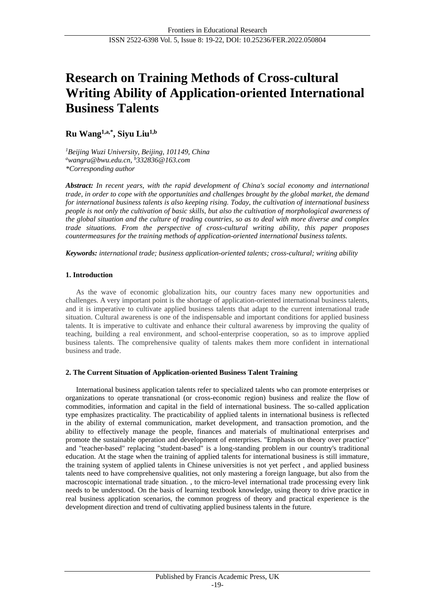# **Research on Training Methods of Cross-cultural Writing Ability of Application-oriented International Business Talents**

**Ru Wang1,a,\* , Siyu Liu1,b**

*<sup>1</sup>Beijing Wuzi University, Beijing, 101149, China <sup>a</sup>[wangru@bwu.edu.cn,](mailto:awangru@bwu.edu.cn) <sup>b</sup>[332836@163.com](mailto:b332836@163.com) \*Corresponding author*

*Abstract: In recent years, with the rapid development of China's social economy and international trade, in order to cope with the opportunities and challenges brought by the global market, the demand for international business talents is also keeping rising. Today, the cultivation of international business people is not only the cultivation of basic skills, but also the cultivation of morphological awareness of the global situation and the culture of trading countries, so as to deal with more diverse and complex trade situations. From the perspective of cross-cultural writing ability, this paper proposes countermeasures for the training methods of application-oriented international business talents.*

*Keywords: international trade; business application-oriented talents; cross-cultural; writing ability*

# **1. Introduction**

As the wave of economic globalization hits, our country faces many new opportunities and challenges. A very important point is the shortage of application-oriented international business talents, and it is imperative to cultivate applied business talents that adapt to the current international trade situation. Cultural awareness is one of the indispensable and important conditions for applied business talents. It is imperative to cultivate and enhance their cultural awareness by improving the quality of teaching, building a real environment, and school-enterprise cooperation, so as to improve applied business talents. The comprehensive quality of talents makes them more confident in international business and trade.

# **2. The Current Situation of Application-oriented Business Talent Training**

International business application talents refer to specialized talents who can promote enterprises or organizations to operate transnational (or cross-economic region) business and realize the flow of commodities, information and capital in the field of international business. The so-called application type emphasizes practicality. The practicability of applied talents in international business is reflected in the ability of external communication, market development, and transaction promotion, and the ability to effectively manage the people, finances and materials of multinational enterprises and promote the sustainable operation and development of enterprises. "Emphasis on theory over practice" and "teacher-based" replacing "student-based" is a long-standing problem in our country's traditional education. At the stage when the training of applied talents for international business is still immature, the training system of applied talents in Chinese universities is not yet perfect , and applied business talents need to have comprehensive qualities, not only mastering a foreign language, but also from the macroscopic international trade situation. , to the micro-level international trade processing every link needs to be understood. On the basis of learning textbook knowledge, using theory to drive practice in real business application scenarios, the common progress of theory and practical experience is the development direction and trend of cultivating applied business talents in the future.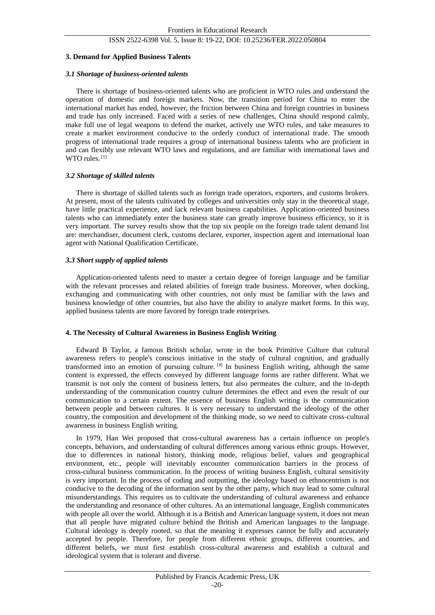## ISSN 2522-6398 Vol. 5, Issue 8: 19-22, DOI: 10.25236/FER.2022.050804

## **3. Demand for Applied Business Talents**

## *3.1 Shortage of business-oriented talents*

There is shortage of business-oriented talents who are proficient in WTO rules and understand the operation of domestic and foreign markets. Now, the transition period for China to enter the international market has ended, however, the friction between China and foreign countries in business and trade has only increased. Faced with a series of new challenges, China should respond calmly, make full use of legal weapons to defend the market, actively use WTO rules, and take measures to create a market environment conducive to the orderly conduct of international trade. The smooth progress of international trade requires a group of international business talents who are proficient in and can flexibly use relevant WTO laws and regulations, and are familiar with international laws and WTO rules.<sup>[1]</sup>

## *3.2 Shortage of skilled talents*

There is shortage of skilled talents such as foreign trade operators, exporters, and customs brokers. At present, most of the talents cultivated by colleges and universities only stay in the theoretical stage, have little practical experience, and lack relevant business capabilities. Application-oriented business talents who can immediately enter the business state can greatly improve business efficiency, so it is very important. The survey results show that the top six people on the foreign trade talent demand list are: merchandiser, document clerk, customs declarer, exporter, inspection agent and international loan agent with National Qualification Certificate.

## *3.3 Short supply of applied talents*

Application-oriented talents need to master a certain degree of foreign language and be familiar with the relevant processes and related abilities of foreign trade business. Moreover, when docking, exchanging and communicating with other countries, not only must be familiar with the laws and business knowledge of other countries, but also have the ability to analyze market forms. In this way, applied business talents are more favored by foreign trade enterprises.

### **4. The Necessity of Cultural Awareness in Business English Writing**

Edward B Taylor, a famous British scholar, wrote in the book Primitive Culture that cultural awareness refers to people's conscious initiative in the study of cultural cognition, and gradually transformed into an emotion of pursuing culture.  $^{[4]}$  In business English writing, although the same content is expressed, the effects conveyed by different language forms are rather different. What we transmit is not only the content of business letters, but also permeates the culture, and the in-depth understanding of the communication country culture determines the effect and even the result of our communication to a certain extent. The essence of business English writing is the communication between people and between cultures. It is very necessary to understand the ideology of the other country, the composition and development of the thinking mode, so we need to cultivate cross-cultural awareness in business English writing.

In 1979, Han Wei proposed that cross-cultural awareness has a certain influence on people's concepts, behaviors, and understanding of cultural differences among various ethnic groups. However, due to differences in national history, thinking mode, religious belief, values and geographical environment, etc., people will inevitably encounter communication barriers in the process of cross-cultural business communication. In the process of writing business English, cultural sensitivity is very important. In the process of coding and outputting, the ideology based on ethnocentrism is not conducive to the decoding of the information sent by the other party, which may lead to some cultural misunderstandings. This requires us to cultivate the understanding of cultural awareness and enhance the understanding and resonance of other cultures. As an international language, English communicates with people all over the world. Although it is a British and American language system, it does not mean that all people have migrated culture behind the British and American languages to the language. Cultural ideology is deeply rooted, so that the meaning it expresses cannot be fully and accurately accepted by people. Therefore, for people from different ethnic groups, different countries, and different beliefs, we must first establish cross-cultural awareness and establish a cultural and ideological system that is tolerant and diverse.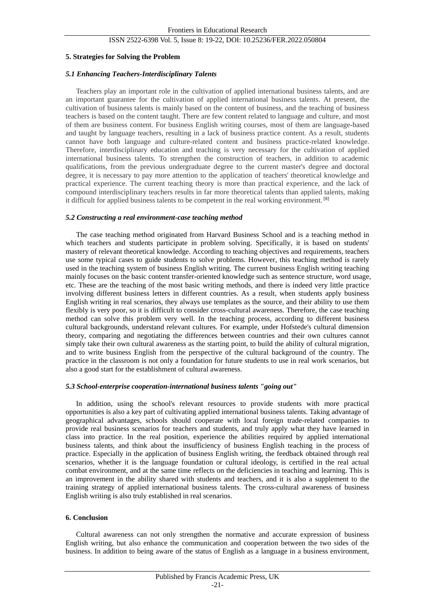#### ISSN 2522-6398 Vol. 5, Issue 8: 19-22, DOI: 10.25236/FER.2022.050804

#### **5. Strategies for Solving the Problem**

#### *5.1 Enhancing Teachers-Interdisciplinary Talents*

Teachers play an important role in the cultivation of applied international business talents, and are an important guarantee for the cultivation of applied international business talents. At present, the cultivation of business talents is mainly based on the content of business, and the teaching of business teachers is based on the content taught. There are few content related to language and culture, and most of them are business content. For business English writing courses, most of them are language-based and taught by language teachers, resulting in a lack of business practice content. As a result, students cannot have both language and culture-related content and business practice-related knowledge. Therefore, interdisciplinary education and teaching is very necessary for the cultivation of applied international business talents. To strengthen the construction of teachers, in addition to academic qualifications, from the previous undergraduate degree to the current master's degree and doctoral degree, it is necessary to pay more attention to the application of teachers' theoretical knowledge and practical experience. The current teaching theory is more than practical experience, and the lack of compound interdisciplinary teachers results in far more theoretical talents than applied talents, making it difficult for applied business talents to be competent in the real working environment. [8]

#### *5.2 Constructing a real environment-case teaching method*

The case teaching method originated from Harvard Business School and is a teaching method in which teachers and students participate in problem solving. Specifically, it is based on students' mastery of relevant theoretical knowledge. According to teaching objectives and requirements, teachers use some typical cases to guide students to solve problems. However, this teaching method is rarely used in the teaching system of business English writing. The current business English writing teaching mainly focuses on the basic content transfer-oriented knowledge such as sentence structure, word usage, etc. These are the teaching of the most basic writing methods, and there is indeed very little practice involving different business letters in different countries. As a result, when students apply business English writing in real scenarios, they always use templates as the source, and their ability to use them flexibly is very poor, so it is difficult to consider cross-cultural awareness. Therefore, the case teaching method can solve this problem very well. In the teaching process, according to different business cultural backgrounds, understand relevant cultures. For example, under Hofstede's cultural dimension theory, comparing and negotiating the differences between countries and their own cultures cannot simply take their own cultural awareness as the starting point, to build the ability of cultural migration, and to write business English from the perspective of the cultural background of the country. The practice in the classroom is not only a foundation for future students to use in real work scenarios, but also a good start for the establishment of cultural awareness.

#### *5.3 School-enterprise cooperation-international business talents "going out"*

In addition, using the school's relevant resources to provide students with more practical opportunities is also a key part of cultivating applied international business talents. Taking advantage of geographical advantages, schools should cooperate with local foreign trade-related companies to provide real business scenarios for teachers and students, and truly apply what they have learned in class into practice. In the real position, experience the abilities required by applied international business talents, and think about the insufficiency of business English teaching in the process of practice. Especially in the application of business English writing, the feedback obtained through real scenarios, whether it is the language foundation or cultural ideology, is certified in the real actual combat environment, and at the same time reflects on the deficiencies in teaching and learning. This is an improvement in the ability shared with students and teachers, and it is also a supplement to the training strategy of applied international business talents. The cross-cultural awareness of business English writing is also truly established in real scenarios.

#### **6. Conclusion**

Cultural awareness can not only strengthen the normative and accurate expression of business English writing, but also enhance the communication and cooperation between the two sides of the business. In addition to being aware of the status of English as a language in a business environment,